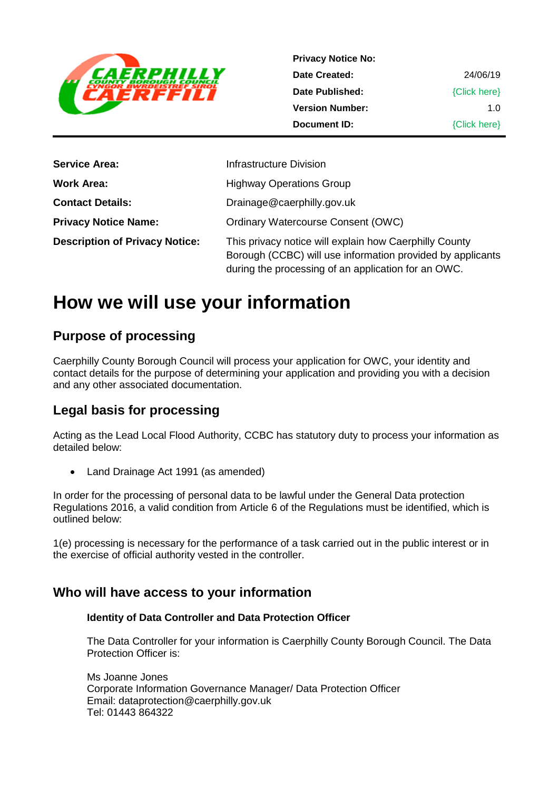

| <b>Privacy Notice No:</b> |              |
|---------------------------|--------------|
| Date Created:             | 24/06/19     |
| Date Published:           | {Click here} |
| <b>Version Number:</b>    | 1 በ          |
| Document ID:              | {Click here} |

| <b>Service Area:</b>                  | Infrastructure Division                                                                                                                                                     |
|---------------------------------------|-----------------------------------------------------------------------------------------------------------------------------------------------------------------------------|
| Work Area:                            | <b>Highway Operations Group</b>                                                                                                                                             |
| <b>Contact Details:</b>               | Drainage@caerphilly.gov.uk                                                                                                                                                  |
| <b>Privacy Notice Name:</b>           | <b>Ordinary Watercourse Consent (OWC)</b>                                                                                                                                   |
| <b>Description of Privacy Notice:</b> | This privacy notice will explain how Caerphilly County<br>Borough (CCBC) will use information provided by applicants<br>during the processing of an application for an OWC. |

# **How we will use your information**

## **Purpose of processing**

Caerphilly County Borough Council will process your application for OWC, your identity and contact details for the purpose of determining your application and providing you with a decision and any other associated documentation.

## **Legal basis for processing**

Acting as the Lead Local Flood Authority, CCBC has statutory duty to process your information as detailed below:

• Land Drainage Act 1991 (as amended)

In order for the processing of personal data to be lawful under the General Data protection Regulations 2016, a valid condition from Article 6 of the Regulations must be identified, which is outlined below:

1(e) processing is necessary for the performance of a task carried out in the public interest or in the exercise of official authority vested in the controller.

## **Who will have access to your information**

#### **Identity of Data Controller and Data Protection Officer**

The Data Controller for your information is Caerphilly County Borough Council. The Data Protection Officer is:

Ms Joanne Jones Corporate Information Governance Manager/ Data Protection Officer Email: dataprotection@caerphilly.gov.uk Tel: 01443 864322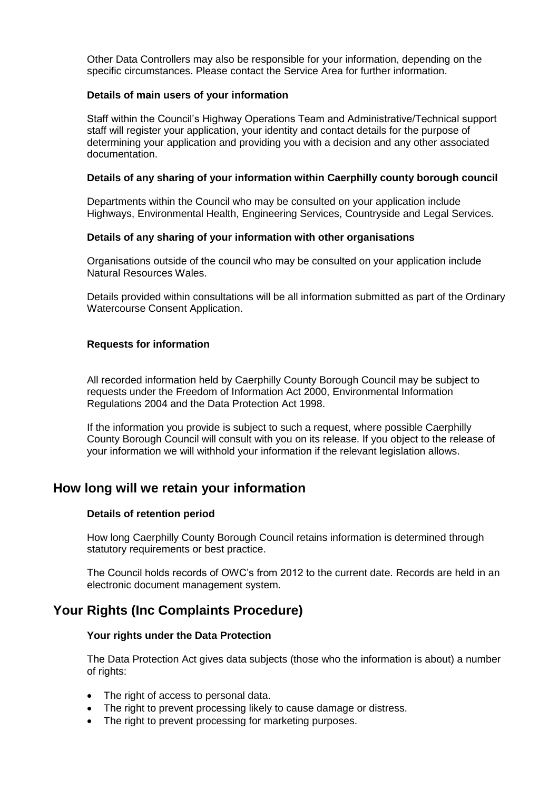Other Data Controllers may also be responsible for your information, depending on the specific circumstances. Please contact the Service Area for further information.

#### **Details of main users of your information**

Staff within the Council's Highway Operations Team and Administrative/Technical support staff will register your application, your identity and contact details for the purpose of determining your application and providing you with a decision and any other associated documentation.

#### **Details of any sharing of your information within Caerphilly county borough council**

Departments within the Council who may be consulted on your application include Highways, Environmental Health, Engineering Services, Countryside and Legal Services.

#### **Details of any sharing of your information with other organisations**

Organisations outside of the council who may be consulted on your application include Natural Resources Wales.

Details provided within consultations will be all information submitted as part of the Ordinary Watercourse Consent Application.

#### **Requests for information**

All recorded information held by Caerphilly County Borough Council may be subject to requests under the Freedom of Information Act 2000, Environmental Information Regulations 2004 and the Data Protection Act 1998.

If the information you provide is subject to such a request, where possible Caerphilly County Borough Council will consult with you on its release. If you object to the release of your information we will withhold your information if the relevant legislation allows.

### **How long will we retain your information**

#### **Details of retention period**

How long Caerphilly County Borough Council retains information is determined through statutory requirements or best practice.

The Council holds records of OWC's from 2012 to the current date. Records are held in an electronic document management system.

## **Your Rights (Inc Complaints Procedure)**

#### **Your rights under the Data Protection**

The Data Protection Act gives data subjects (those who the information is about) a number of rights:

- The right of access to personal data.
- The right to prevent processing likely to cause damage or distress.
- The right to prevent processing for marketing purposes.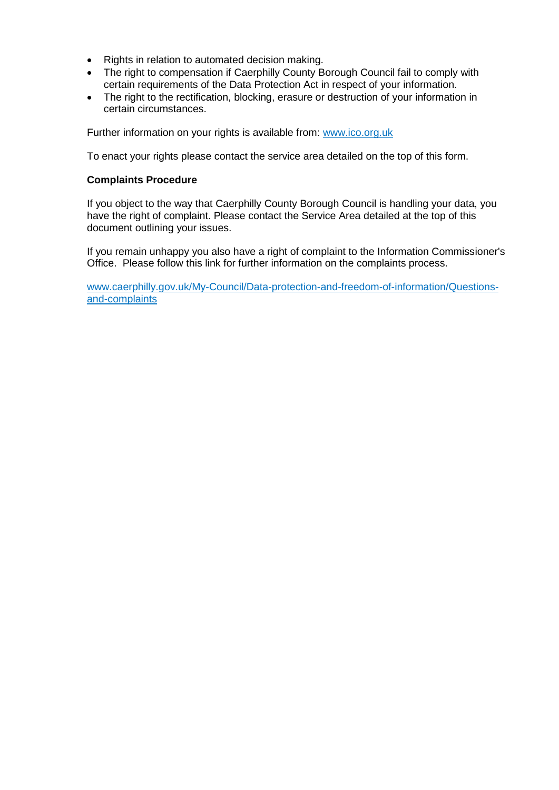- Rights in relation to automated decision making.
- The right to compensation if Caerphilly County Borough Council fail to comply with certain requirements of the Data Protection Act in respect of your information.
- The right to the rectification, blocking, erasure or destruction of your information in certain circumstances.

Further information on your rights is available from: [www.ico.org.uk](http://www.ico.org.uk/)

To enact your rights please contact the service area detailed on the top of this form.

#### **Complaints Procedure**

If you object to the way that Caerphilly County Borough Council is handling your data, you have the right of complaint. Please contact the Service Area detailed at the top of this document outlining your issues.

If you remain unhappy you also have a right of complaint to the Information Commissioner's Office. Please follow this link for further information on the complaints process.

[www.caerphilly.gov.uk/My-Council/Data-protection-and-freedom-of-information/Questions](http://www.caerphilly.gov.uk/My-Council/Data-protection-and-freedom-of-information/Questions-and-complaints)[and-complaints](http://www.caerphilly.gov.uk/My-Council/Data-protection-and-freedom-of-information/Questions-and-complaints)